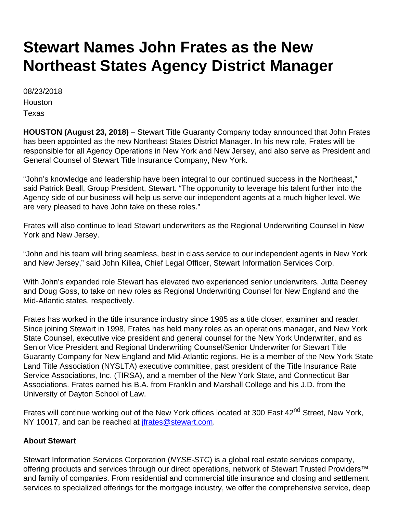## **Stewart Names John Frates as the New Northeast States Agency District Manager**

08/23/2018 Houston Texas

**HOUSTON (August 23, 2018)** – Stewart Title Guaranty Company today announced that John Frates has been appointed as the new Northeast States District Manager. In his new role, Frates will be responsible for all Agency Operations in New York and New Jersey, and also serve as President and General Counsel of Stewart Title Insurance Company, New York.

"John's knowledge and leadership have been integral to our continued success in the Northeast," said Patrick Beall, Group President, Stewart. "The opportunity to leverage his talent further into the Agency side of our business will help us serve our independent agents at a much higher level. We are very pleased to have John take on these roles."

Frates will also continue to lead Stewart underwriters as the Regional Underwriting Counsel in New York and New Jersey.

"John and his team will bring seamless, best in class service to our independent agents in New York and New Jersey," said John Killea, Chief Legal Officer, Stewart Information Services Corp.

With John's expanded role Stewart has elevated two experienced senior underwriters, Jutta Deeney and Doug Goss, to take on new roles as Regional Underwriting Counsel for New England and the Mid-Atlantic states, respectively.

Frates has worked in the title insurance industry since 1985 as a title closer, examiner and reader. Since joining Stewart in 1998, Frates has held many roles as an operations manager, and New York State Counsel, executive vice president and general counsel for the New York Underwriter, and as Senior Vice President and Regional Underwriting Counsel/Senior Underwriter for Stewart Title Guaranty Company for New England and Mid-Atlantic regions. He is a member of the New York State Land Title Association (NYSLTA) executive committee, past president of the Title Insurance Rate Service Associations, Inc. (TIRSA), and a member of the New York State, and Connecticut Bar Associations. Frates earned his B.A. from Franklin and Marshall College and his J.D. from the University of Dayton School of Law.

Frates will continue working out of the New York offices located at 300 East 42<sup>nd</sup> Street, New York, NY 10017, and can be reached at *ifrates@stewart.com.* 

## **About Stewart**

Stewart Information Services Corporation (NYSE-STC) is a global real estate services company, offering products and services through our direct operations, network of Stewart Trusted Providers<sup>™</sup> and family of companies. From residential and commercial title insurance and closing and settlement services to specialized offerings for the mortgage industry, we offer the comprehensive service, deep